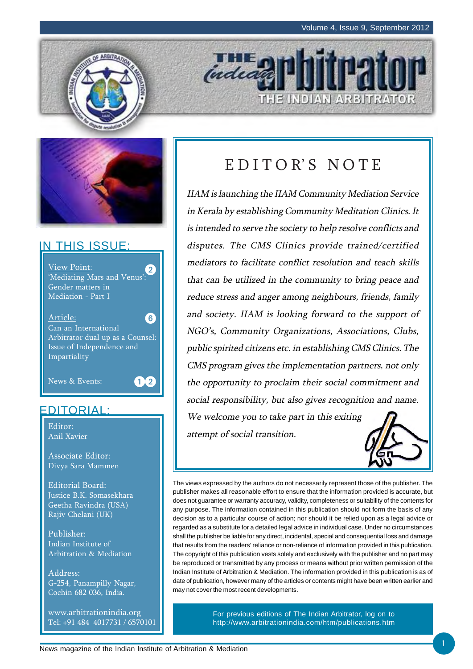THE INDIAN ARBITRATOR





### IN THIS ISSUE:

View Point: 'Mediating Mars and Venus': Gender matters in Mediation - Part I Article: Can an International Arbitrator dual up as a Counsel: Issue of Independence and Impartiality News & Events:  $\mathbf{2}^{\mathsf{c}}$ 6  $12$ 

### EDITORIAL:

Editor: Anil Xavier

Associate Editor: Divya Sara Mammen

Editorial Board: Justice B.K. Somasekhara Geetha Ravindra (USA) Rajiv Chelani (UK)

Publisher: Indian Institute of Arbitration & Mediation

Address: G-254, Panampilly Nagar, Cochin 682 036, India.

www.arbitrationindia.org Tel: +91 484 4017731 / 6570101

# E D I T O R' S N O T E

*indian* 

IIAM is launching the IIAM Community Mediation Service in Kerala by establishing Community Meditation Clinics. It is intended to serve the society to help resolve conflicts and disputes. The CMS Clinics provide trained/certified mediators to facilitate conflict resolution and teach skills that can be utilized in the community to bring peace and reduce stress and anger among neighbours, friends, family and society. IIAM is looking forward to the support of NGO's, Community Organizations, Associations, Clubs, public spirited citizens etc. in establishing CMS Clinics. The CMS program gives the implementation partners, not only the opportunity to proclaim their social commitment and social responsibility, but also gives recognition and name. We welcome you to take part in this exiting

attempt of social transition.



The views expressed by the authors do not necessarily represent those of the publisher. The publisher makes all reasonable effort to ensure that the information provided is accurate, but does not guarantee or warranty accuracy, validity, completeness or suitability of the contents for any purpose. The information contained in this publication should not form the basis of any decision as to a particular course of action; nor should it be relied upon as a legal advice or regarded as a substitute for a detailed legal advice in individual case. Under no circumstances shall the publisher be liable for any direct, incidental, special and consequential loss and damage that results from the readers' reliance or non-reliance of information provided in this publication. The copyright of this publication vests solely and exclusively with the publisher and no part may be reproduced or transmitted by any process or means without prior written permission of the Indian Institute of Arbitration & Mediation. The information provided in this publication is as of date of publication, however many of the articles or contents might have been written earlier and may not cover the most recent developments.

> For previous editions of The Indian Arbitrator, log on to http://www.arbitrationindia.com/htm/publications.htm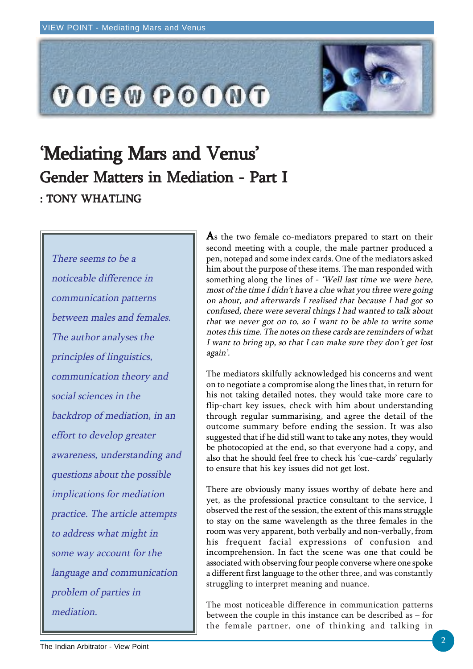

# 'Mediating Mars and Venus' Gender Matters in Mediation - Part I : TONY WHATLING

There seems to be a noticeable difference in communication patterns between males and females. The author analyses the principles of linguistics, communication theory and social sciences in the backdrop of mediation, in an effort to develop greater awareness, understanding and questions about the possible implications for mediation practice. The article attempts to address what might in some way account for the language and communication problem of parties in mediation.

 $\mathbf A$ s the two female co-mediators prepared to start on their second meeting with a couple, the male partner produced a pen, notepad and some index cards. One of the mediators asked him about the purpose of these items. The man responded with something along the lines of - 'Well last time we were here, most of the time I didn't have a clue what you three were going on about, and afterwards I realised that because I had got so confused, there were several things I had wanted to talk about that we never got on to, so I want to be able to write some notes this time. The notes on these cards are reminders of what I want to bring up, so that I can make sure they don't get lost again'.

The mediators skilfully acknowledged his concerns and went on to negotiate a compromise along the lines that, in return for his not taking detailed notes, they would take more care to flip-chart key issues, check with him about understanding through regular summarising, and agree the detail of the outcome summary before ending the session. It was also suggested that if he did still want to take any notes, they would be photocopied at the end, so that everyone had a copy, and also that he should feel free to check his 'cue-cards' regularly to ensure that his key issues did not get lost.

There are obviously many issues worthy of debate here and yet, as the professional practice consultant to the service, I observed the rest of the session, the extent of this mans struggle to stay on the same wavelength as the three females in the room was very apparent, both verbally and non-verbally, from his frequent facial expressions of confusion and incomprehension. In fact the scene was one that could be associated with observing four people converse where one spoke a different first language to the other three, and was constantly struggling to interpret meaning and nuance.

The most noticeable difference in communication patterns between the couple in this instance can be described as – for the female partner, one of thinking and talking in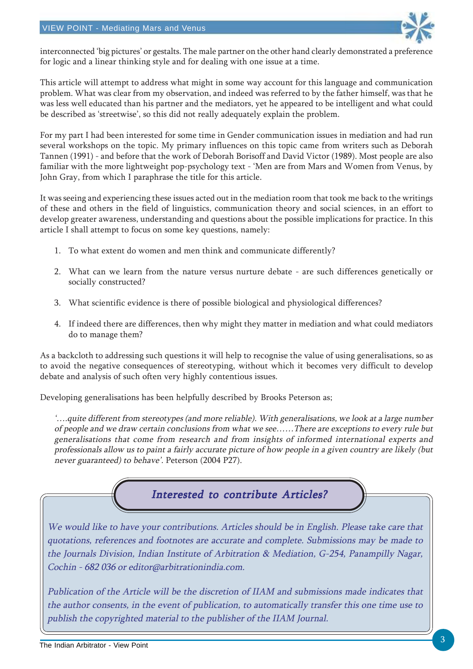

interconnected 'big pictures' or gestalts. The male partner on the other hand clearly demonstrated a preference for logic and a linear thinking style and for dealing with one issue at a time.

This article will attempt to address what might in some way account for this language and communication problem. What was clear from my observation, and indeed was referred to by the father himself, was that he was less well educated than his partner and the mediators, yet he appeared to be intelligent and what could be described as 'streetwise', so this did not really adequately explain the problem.

For my part I had been interested for some time in Gender communication issues in mediation and had run several workshops on the topic. My primary influences on this topic came from writers such as Deborah Tannen (1991) - and before that the work of Deborah Borisoff and David Victor (1989). Most people are also familiar with the more lightweight pop-psychology text - 'Men are from Mars and Women from Venus, by John Gray, from which I paraphrase the title for this article.

It was seeing and experiencing these issues acted out in the mediation room that took me back to the writings of these and others in the field of linguistics, communication theory and social sciences, in an effort to develop greater awareness, understanding and questions about the possible implications for practice. In this article I shall attempt to focus on some key questions, namely:

- 1. To what extent do women and men think and communicate differently?
- 2. What can we learn from the nature versus nurture debate are such differences genetically or socially constructed?
- 3. What scientific evidence is there of possible biological and physiological differences?
- 4. If indeed there are differences, then why might they matter in mediation and what could mediators do to manage them?

As a backcloth to addressing such questions it will help to recognise the value of using generalisations, so as to avoid the negative consequences of stereotyping, without which it becomes very difficult to develop debate and analysis of such often very highly contentious issues.

Developing generalisations has been helpfully described by Brooks Peterson as;

'….quite different from stereotypes (and more reliable). With generalisations, we look at a large number of people and we draw certain conclusions from what we see……There are exceptions to every rule but generalisations that come from research and from insights of informed international experts and professionals allow us to paint a fairly accurate picture of how people in a given country are likely (but never guaranteed) to behave'. Peterson (2004 P27).



We would like to have your contributions. Articles should be in English. Please take care that quotations, references and footnotes are accurate and complete. Submissions may be made to the Journals Division, Indian Institute of Arbitration & Mediation, G-254, Panampilly Nagar, Cochin - 682 036 or editor@arbitrationindia.com.

Publication of the Article will be the discretion of IIAM and submissions made indicates that the author consents, in the event of publication, to automatically transfer this one time use to publish the copyrighted material to the publisher of the IIAM Journal.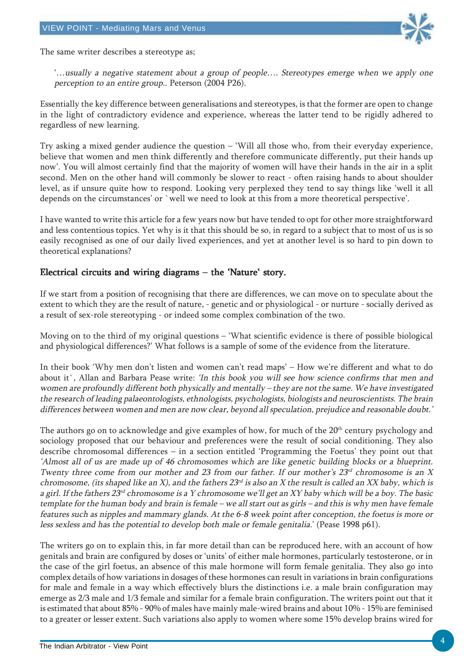

The same writer describes a stereotype as;

'…usually a negative statement about a group of people…. Stereotypes emerge when we apply one perception to an entire group.. Peterson (2004 P26).

Essentially the key difference between generalisations and stereotypes, is that the former are open to change in the light of contradictory evidence and experience, whereas the latter tend to be rigidly adhered to regardless of new learning.

Try asking a mixed gender audience the question – 'Will all those who, from their everyday experience, believe that women and men think differently and therefore communicate differently, put their hands up now'. You will almost certainly find that the majority of women will have their hands in the air in a split second. Men on the other hand will commonly be slower to react - often raising hands to about shoulder level, as if unsure quite how to respond. Looking very perplexed they tend to say things like 'well it all depends on the circumstances' or `well we need to look at this from a more theoretical perspective'.

I have wanted to write this article for a few years now but have tended to opt for other more straightforward and less contentious topics. Yet why is it that this should be so, in regard to a subject that to most of us is so easily recognised as one of our daily lived experiences, and yet at another level is so hard to pin down to theoretical explanations?

### Electrical circuits and wiring diagrams – the 'Nature' story. Electrical and wiring diagrams –

If we start from a position of recognising that there are differences, we can move on to speculate about the extent to which they are the result of nature, - genetic and or physiological - or nurture - socially derived as a result of sex-role stereotyping - or indeed some complex combination of the two.

Moving on to the third of my original questions – 'What scientific evidence is there of possible biological and physiological differences?' What follows is a sample of some of the evidence from the literature.

In their book 'Why men don't listen and women can't read maps' – How we're different and what to do about it`, Allan and Barbara Pease write: 'In this book you will see how science confirms that men and women are profoundly different both physically and mentally – they are not the same. We have investigated the research of leading palaeontologists, ethnologists, psychologists, biologists and neuroscientists. The brain differences between women and men are now clear, beyond all speculation, prejudice and reasonable doubt.'

The authors go on to acknowledge and give examples of how, for much of the 20<sup>th</sup> century psychology and sociology proposed that our behaviour and preferences were the result of social conditioning. They also describe chromosomal differences – in a section entitled 'Programming the Foetus' they point out that 'Almost all of us are made up of 46 chromosomes which are like genetic building blocks or a blueprint. Twenty three come from our mother and 23 from our father. If our mother's  $23^{rd}$  chromosome is an X chromosome, (its shaped like an X), and the fathers  $23^{rd}$  is also an X the result is called an XX baby, which is a girl. If the fathers 23<sup>rd</sup> chromosome is a Y chromosome we'll get an XY baby which will be a boy. The basic template for the human body and brain is female – we all start out as girls – and this is why men have female features such as nipples and mammary glands. At the 6-8 week point after conception, the foetus is more or less sexless and has the potential to develop both male or female genitalia.' (Pease 1998 p61).

The writers go on to explain this, in far more detail than can be reproduced here, with an account of how genitals and brain are configured by doses or 'units' of either male hormones, particularly testosterone, or in the case of the girl foetus, an absence of this male hormone will form female genitalia. They also go into complex details of how variations in dosages of these hormones can result in variations in brain configurations for male and female in a way which effectively blurs the distinctions i.e. a male brain configuration may emerge as 2/3 male and 1/3 female and similar for a female brain configuration. The writers point out that it is estimated that about 85% - 90% of males have mainly male-wired brains and about 10% - 15% are feminised to a greater or lesser extent. Such variations also apply to women where some 15% develop brains wired for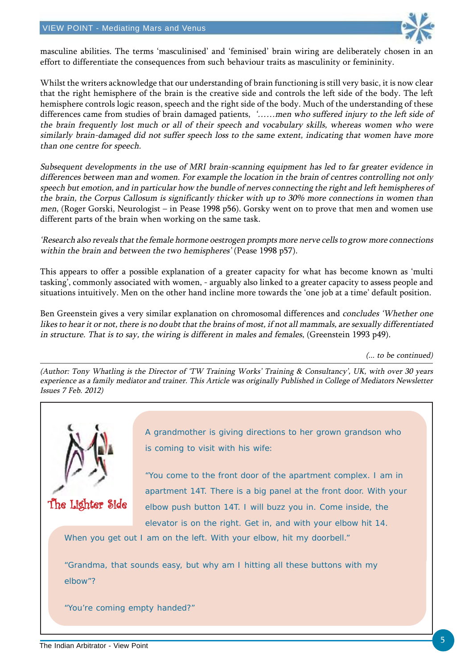

masculine abilities. The terms 'masculinised' and 'feminised' brain wiring are deliberately chosen in an effort to differentiate the consequences from such behaviour traits as masculinity or femininity.

Whilst the writers acknowledge that our understanding of brain functioning is still very basic, it is now clear that the right hemisphere of the brain is the creative side and controls the left side of the body. The left hemisphere controls logic reason, speech and the right side of the body. Much of the understanding of these differences came from studies of brain damaged patients, '......men who suffered injury to the left side of the brain frequently lost much or all of their speech and vocabulary skills, whereas women who were similarly brain-damaged did not suffer speech loss to the same extent, indicating that women have more than one centre for speech.

Subsequent developments in the use of MRI brain-scanning equipment has led to far greater evidence in differences between man and women. For example the location in the brain of centres controlling not only speech but emotion, and in particular how the bundle of nerves connecting the right and left hemispheres of the brain, the Corpus Callosum is significantly thicker with up to 30% more connections in women than men, (Roger Gorski, Neurologist – in Pease 1998 p56). Gorsky went on to prove that men and women use different parts of the brain when working on the same task.

'Research also reveals that the female hormone oestrogen prompts more nerve cells to grow more connections within the brain and between the two hemispheres' (Pease 1998 p57).

This appears to offer a possible explanation of a greater capacity for what has become known as 'multi tasking', commonly associated with women, - arguably also linked to a greater capacity to assess people and situations intuitively. Men on the other hand incline more towards the 'one job at a time' default position.

Ben Greenstein gives a very similar explanation on chromosomal differences and concludes 'Whether one likes to hear it or not, there is no doubt that the brains of most, if not all mammals, are sexually differentiated in structure. That is to say, the wiring is different in males and females, (Greenstein 1993 p49).

(... to be continued)

(Author: Tony Whatling is the Director of 'TW Training Works' Training & Consultancy', UK, with over 30 years experience as a family mediator and trainer. This Article was originally Published in College of Mediators Newsletter Issues 7 Feb. 2012)



A grandmother is giving directions to her grown grandson who is coming to visit with his wife:

"You come to the front door of the apartment complex. I am in apartment 14T. There is a big panel at the front door. With your elbow push button 14T. I will buzz you in. Come inside, the elevator is on the right. Get in, and with your elbow hit 14.

When you get out I am on the left. With your elbow, hit my doorbell."

"Grandma, that sounds easy, but why am I hitting all these buttons with my elbow"?

"You're coming empty handed?"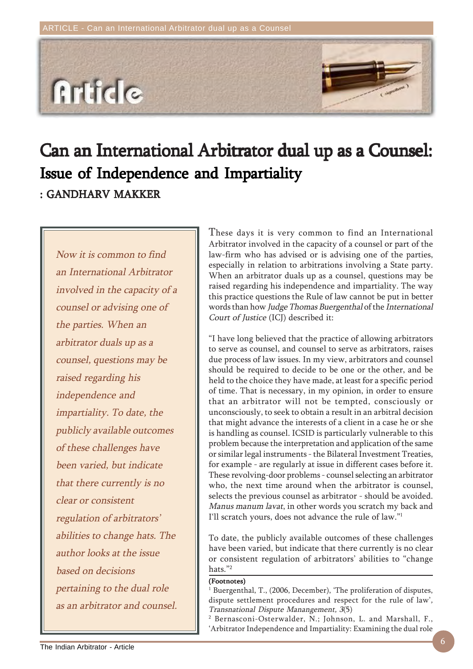

# Can an International Arbitrator dual up as a Counsel: : GANDHARV MAKKER Issue of Independence and Impartiality

Now it is common to find an International Arbitrator involved in the capacity of a counsel or advising one of the parties. When an arbitrator duals up as a counsel, questions may be raised regarding his independence and impartiality. To date, the publicly available outcomes of these challenges have been varied, but indicate that there currently is no clear or consistent regulation of arbitrators' abilities to change hats. The author looks at the issue based on decisions pertaining to the dual role as an arbitrator and counsel. These days it is very common to find an International Arbitrator involved in the capacity of a counsel or part of the law-firm who has advised or is advising one of the parties, especially in relation to arbitrations involving a State party. When an arbitrator duals up as a counsel, questions may be raised regarding his independence and impartiality. The way this practice questions the Rule of law cannot be put in better words than how Judge Thomas Buergenthal of the International Court of Justice (ICJ) described it:

"I have long believed that the practice of allowing arbitrators to serve as counsel, and counsel to serve as arbitrators, raises due process of law issues. In my view, arbitrators and counsel should be required to decide to be one or the other, and be held to the choice they have made, at least for a specific period of time. That is necessary, in my opinion, in order to ensure that an arbitrator will not be tempted, consciously or unconsciously, to seek to obtain a result in an arbitral decision that might advance the interests of a client in a case he or she is handling as counsel. ICSID is particularly vulnerable to this problem because the interpretation and application of the same or similar legal instruments - the Bilateral Investment Treaties, for example - are regularly at issue in different cases before it. These revolving-door problems - counsel selecting an arbitrator who, the next time around when the arbitrator is counsel, selects the previous counsel as arbitrator - should be avoided. Manus manum lavat, in other words you scratch my back and I'll scratch yours, does not advance the rule of law."1

To date, the publicly available outcomes of these challenges have been varied, but indicate that there currently is no clear or consistent regulation of arbitrators' abilities to "change hats."2

#### (Footnotes)

1 Buergenthal, T., (2006, December), 'The proliferation of disputes, dispute settlement procedures and respect for the rule of law', Transnational Dispute Manangement, 3(5)

2 Bernasconi-Osterwalder, N.; Johnson, L. and Marshall, F., 'Arbitrator Independence and Impartiality: Examining the dual role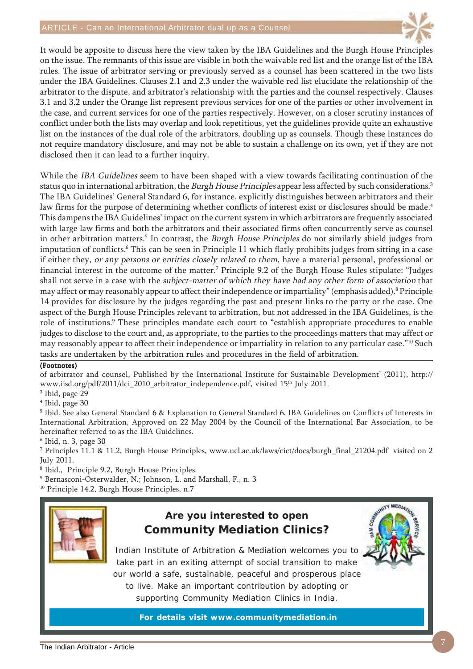

It would be apposite to discuss here the view taken by the IBA Guidelines and the Burgh House Principles on the issue. The remnants of this issue are visible in both the waivable red list and the orange list of the IBA rules. The issue of arbitrator serving or previously served as a counsel has been scattered in the two lists under the IBA Guidelines. Clauses 2.1 and 2.3 under the waivable red list elucidate the relationship of the arbitrator to the dispute, and arbitrator's relationship with the parties and the counsel respectively. Clauses 3.1 and 3.2 under the Orange list represent previous services for one of the parties or other involvement in the case, and current services for one of the parties respectively. However, on a closer scrutiny instances of conflict under both the lists may overlap and look repetitious, yet the guidelines provide quite an exhaustive list on the instances of the dual role of the arbitrators, doubling up as counsels. Though these instances do not require mandatory disclosure, and may not be able to sustain a challenge on its own, yet if they are not disclosed then it can lead to a further inquiry.

While the *IBA Guidelines* seem to have been shaped with a view towards facilitating continuation of the status quo in international arbitration, the Burgh House Principles appear less affected by such considerations.<sup>3</sup> The IBA Guidelines' General Standard 6, for instance, explicitly distinguishes between arbitrators and their law firms for the purpose of determining whether conflicts of interest exist or disclosures should be made.<sup>4</sup> This dampens the IBA Guidelines' impact on the current system in which arbitrators are frequently associated with large law firms and both the arbitrators and their associated firms often concurrently serve as counsel in other arbitration matters.<sup>5</sup> In contrast, the *Burgh House Principles* do not similarly shield judges from imputation of conflicts.<sup>6</sup> This can be seen in Principle 11 which flatly prohibits judges from sitting in a case if either they, or any persons or entities closely related to them, have a material personal, professional or financial interest in the outcome of the matter.7 Principle 9.2 of the Burgh House Rules stipulate: "Judges shall not serve in a case with the subject-matter of which they have had any other form of association that may affect or may reasonably appear to affect their independence or impartiality" (emphasis added).<sup>8</sup> Principle 14 provides for disclosure by the judges regarding the past and present links to the party or the case. One aspect of the Burgh House Principles relevant to arbitration, but not addressed in the IBA Guidelines, is the role of institutions.<sup>9</sup> These principles mandate each court to "establish appropriate procedures to enable judges to disclose to the court and, as appropriate, to the parties to the proceedings matters that may affect or may reasonably appear to affect their independence or impartiality in relation to any particular case."10 Such tasks are undertaken by the arbitration rules and procedures in the field of arbitration.

### (Footnotes)

of arbitrator and counsel, Published by the International Institute for Sustainable Development' (2011), http:// www.iisd.org/pdf/2011/dci\_2010\_arbitrator\_independence.pdf, visited 15<sup>th</sup> July 2011.

3 Ibid, page 29

4 Ibid, page 30

 $^5$  Ibid. See also General Standard 6 & Explanation to General Standard 6, IBA Guidelines on Conflicts of Interests in International Arbitration, Approved on 22 May 2004 by the Council of the International Bar Association, to be hereinafter referred to as the IBA Guidelines.

6 Ibid, n. 3, page 30

7 Principles 11.1 & 11.2, Burgh House Principles, www.ucl.ac.uk/laws/cict/docs/burgh\_final\_21204.pdf visited on 2 July 2011.

8 Ibid., Principle 9.2, Burgh House Principles.

9 Bernasconi-Osterwalder, N.; Johnson, L. and Marshall, F., n. 3

<sup>10</sup> Principle 14.2, Burgh House Principles, n.7



### **Are you interested to open Community Mediation Clinics?**



Indian Institute of Arbitration & Mediation welcomes you to take part in an exiting attempt of social transition to make our world a safe, sustainable, peaceful and prosperous place to live. Make an important contribution by adopting or supporting Community Mediation Clinics in India.

**For details visit www.communitymediation.in**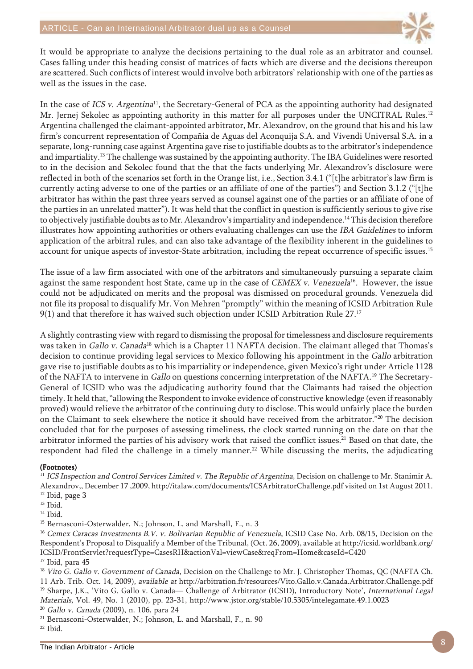

It would be appropriate to analyze the decisions pertaining to the dual role as an arbitrator and counsel. Cases falling under this heading consist of matrices of facts which are diverse and the decisions thereupon are scattered. Such conflicts of interest would involve both arbitrators' relationship with one of the parties as well as the issues in the case.

In the case of ICS v. Argentina<sup>11</sup>, the Secretary-General of PCA as the appointing authority had designated Mr. Jernej Sekolec as appointing authority in this matter for all purposes under the UNCITRAL Rules.<sup>12</sup> Argentina challenged the claimant-appointed arbitrator, Mr. Alexandrov, on the ground that his and his law firm's concurrent representation of Compañia de Aguas del Aconquija S.A. and Vivendi Universal S.A. in a separate, long-running case against Argentina gave rise to justifiable doubts as to the arbitrator's independence and impartiality.13 The challenge was sustained by the appointing authority. The IBA Guidelines were resorted to in the decision and Sekolec found that the that the facts underlying Mr. Alexandrov's disclosure were reflected in both of the scenarios set forth in the Orange list, i.e., Section 3.4.1 ("[t]he arbitrator's law firm is currently acting adverse to one of the parties or an affiliate of one of the parties") and Section 3.1.2 ("[t]he arbitrator has within the past three years served as counsel against one of the parties or an affiliate of one of the parties in an unrelated matter"). It was held that the conflict in question is sufficiently serious to give rise to objectively justifiable doubts as to Mr. Alexandrov's impartiality and independence.14 This decision therefore illustrates how appointing authorities or others evaluating challenges can use the IBA Guidelines to inform application of the arbitral rules, and can also take advantage of the flexibility inherent in the guidelines to account for unique aspects of investor-State arbitration, including the repeat occurrence of specific issues.<sup>15</sup>

The issue of a law firm associated with one of the arbitrators and simultaneously pursuing a separate claim against the same respondent host State, came up in the case of *CEMEX v. Venezuela*<sup>16</sup>. However, the issue could not be adjudicated on merits and the proposal was dismissed on procedural grounds. Venezuela did not file its proposal to disqualify Mr. Von Mehren "promptly" within the meaning of ICSID Arbitration Rule 9(1) and that therefore it has waived such objection under ICSID Arbitration Rule 27.<sup>17</sup>

A slightly contrasting view with regard to dismissing the proposal for timelessness and disclosure requirements was taken in Gallo v. Canada<sup>18</sup> which is a Chapter 11 NAFTA decision. The claimant alleged that Thomas's decision to continue providing legal services to Mexico following his appointment in the Gallo arbitration gave rise to justifiable doubts as to his impartiality or independence, given Mexico's right under Article 1128 of the NAFTA to intervene in Gallo on questions concerning interpretation of the NAFTA.<sup>19</sup> The Secretary-General of ICSID who was the adjudicating authority found that the Claimants had raised the objection timely. It held that, "allowing the Respondent to invoke evidence of constructive knowledge (even if reasonably proved) would relieve the arbitrator of the continuing duty to disclose. This would unfairly place the burden on the Claimant to seek elsewhere the notice it should have received from the arbitrator."20 The decision concluded that for the purposes of assessing timeliness, the clock started running on the date on that the arbitrator informed the parties of his advisory work that raised the conflict issues.<sup>21</sup> Based on that date, the respondent had filed the challenge in a timely manner.<sup>22</sup> While discussing the merits, the adjudicating

### (Footnotes)

<sup>11</sup> ICS Inspection and Control Services Limited v. The Republic of Argentina, Decision on challenge to Mr. Stanimir A. Alexandrov,, December 17 ,2009, http://italaw.com/documents/ICSArbitratorChallenge.pdf visited on 1st August 2011. <sup>12</sup> Ibid, page 3

15 Bernasconi-Osterwalder, N.; Johnson, L. and Marshall, F., n. 3

<sup>16</sup> Cemex Caracas Investments B.V. v. Bolivarian Republic of Venezuela, ICSID Case No. Arb. 08/15, Decision on the Respondent's Proposal to Disqualify a Member of the Tribunal, (Oct. 26, 2009), available at http://icsid.worldbank.org/ ICSID/FrontServlet?requestType=CasesRH&actionVal=viewCase&reqFrom=Home&caseId=C420

<sup>17</sup> Ibid, para 45

<sup>18</sup> Vito G. Gallo v. Government of Canada, Decision on the Challenge to Mr. J. Christopher Thomas, QC (NAFTA Ch. 11 Arb. Trib. Oct. 14, 2009), available at http://arbitration.fr/resources/Vito.Gallo.v.Canada.Arbitrator.Challenge.pdf <sup>19</sup> Sharpe, J.K., 'Vito G. Gallo v. Canada— Challenge of Arbitrator (ICSID), Introductory Note', International Legal Materials, Vol. 49, No. 1 (2010), pp. 23-31, http://www.jstor.org/stable/10.5305/intelegamate.49.1.0023

<sup>20</sup> Gallo v. Canada (2009), n. 106, para 24

21 Bernasconi-Osterwalder, N.; Johnson, L. and Marshall, F., n. 90  $22$  Ibid.

<sup>&</sup>lt;sup>13</sup> Ibid.

<sup>14</sup> Ibid.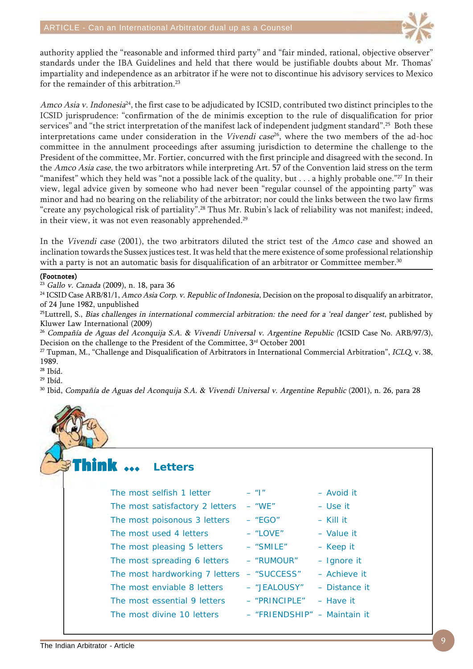

authority applied the "reasonable and informed third party" and "fair minded, rational, objective observer" standards under the IBA Guidelines and held that there would be justifiable doubts about Mr. Thomas' impartiality and independence as an arbitrator if he were not to discontinue his advisory services to Mexico for the remainder of this arbitration.<sup>23</sup>

Amco Asia v. Indonesia<sup>24</sup>, the first case to be adjudicated by ICSID, contributed two distinct principles to the ICSID jurisprudence: "confirmation of the de minimis exception to the rule of disqualification for prior services" and "the strict interpretation of the manifest lack of independent judgment standard".<sup>25</sup> Both these interpretations came under consideration in the Vivendi case<sup>26</sup>, where the two members of the ad-hoc committee in the annulment proceedings after assuming jurisdiction to determine the challenge to the President of the committee, Mr. Fortier, concurred with the first principle and disagreed with the second. In the Amco Asia case, the two arbitrators while interpreting Art. 57 of the Convention laid stress on the term "manifest" which they held was "not a possible lack of the quality, but  $\dots$  a highly probable one."<sup>27</sup> In their view, legal advice given by someone who had never been "regular counsel of the appointing party" was minor and had no bearing on the reliability of the arbitrator; nor could the links between the two law firms "create any psychological risk of partiality".<sup>28</sup> Thus Mr. Rubin's lack of reliability was not manifest; indeed, in their view, it was not even reasonably apprehended.<sup>29</sup>

In the Vivendi case (2001), the two arbitrators diluted the strict test of the Amco case and showed an inclination towards the Sussex justices test. It was held that the mere existence of some professional relationship with a party is not an automatic basis for disqualification of an arbitrator or Committee member.<sup>30</sup>

### (Footnotes)

<sup>23</sup> Gallo v. Canada (2009), n. 18, para 36

<sup>24</sup> ICSID Case ARB/81/1, Amco Asia Corp. v. Republic of Indonesia, Decision on the proposal to disqualify an arbitrator, of 24 June 1982, unpublished

 $^{25}$ Luttrell, S., *Bias challenges in international commercial arbitration: the need for a 'real danger' test*, published by Kluwer Law International (2009)

<sup>26</sup> Compañía de Aguas del Aconquija S.A. & Vivendi Universal v. Argentine Republic (ICSID Case No. ARB/97/3), Decision on the challenge to the President of the Committee, 3rd October 2001

<sup>27</sup> Tupman, M., "Challenge and Disqualification of Arbitrators in International Commercial Arbitration", ICLQ, v. 38, 1989.

28 Ibíd.

29 Ibíd.

30 Ibid, Compañía de Aguas del Aconquija S.A. & Vivendi Universal v. Argentine Republic (2001), n. 26, para 28

The Avoid it – Use it

- Value it – Keep it - Ignore it  $-$  Achieve it – Distance it – Have it – Maintain it

#### Think  $\,\cdots\,$ **Letters**

| The most selfish 1 letter       | $-$ " $ $ "     | – Avoic     |
|---------------------------------|-----------------|-------------|
| The most satisfactory 2 letters | $-$ "WE"        | - Use i     |
| The most poisonous 3 letters    | $-$ "EGO"       | $-$ Kill it |
| The most used 4 letters         | $-$ "LOVE"      | $-$ Value   |
| The most pleasing 5 letters     | $-$ "SMILE"     | - Keep      |
| The most spreading 6 letters    | - "RUMOUR"      | $-$ Ignor   |
| The most hardworking 7 letters  | - "SUCCESS"     | $-$ Achie   |
| The most enviable 8 letters     | - "JEALOUSY"    | - Dista     |
| The most essential 9 letters    | $-$ "PRINCIPLE" | - Have      |
| The most divine 10 letters      | - "FRIENDSHIP"  | $-$ Maint   |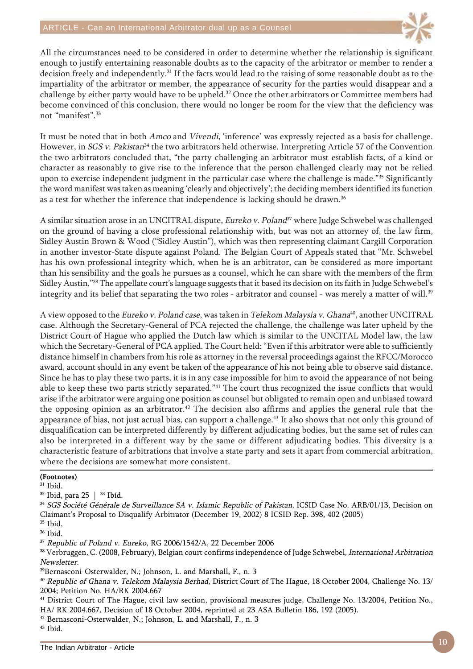

All the circumstances need to be considered in order to determine whether the relationship is significant enough to justify entertaining reasonable doubts as to the capacity of the arbitrator or member to render a decision freely and independently.31 If the facts would lead to the raising of some reasonable doubt as to the impartiality of the arbitrator or member, the appearance of security for the parties would disappear and a challenge by either party would have to be upheld.<sup>32</sup> Once the other arbitrators or Committee members had become convinced of this conclusion, there would no longer be room for the view that the deficiency was not "manifest".33

It must be noted that in both Amco and Vivendi, 'inference' was expressly rejected as a basis for challenge. However, in *SGS v. Pakistan*<sup>34</sup> the two arbitrators held otherwise. Interpreting Article 57 of the Convention the two arbitrators concluded that, "the party challenging an arbitrator must establish facts, of a kind or character as reasonably to give rise to the inference that the person challenged clearly may not be relied upon to exercise independent judgment in the particular case where the challenge is made."<sup>35</sup> Significantly the word manifest was taken as meaning 'clearly and objectively'; the deciding members identified its function as a test for whether the inference that independence is lacking should be drawn.36

A similar situation arose in an UNCITRAL dispute, *Eureko v. Poland*<sup>37</sup> where Judge Schwebel was challenged on the ground of having a close professional relationship with, but was not an attorney of, the law firm, Sidley Austin Brown & Wood ("Sidley Austin"), which was then representing claimant Cargill Corporation in another investor-State dispute against Poland. The Belgian Court of Appeals stated that "Mr. Schwebel has his own professional integrity which, when he is an arbitrator, can be considered as more important than his sensibility and the goals he pursues as a counsel, which he can share with the members of the firm Sidley Austin."38 The appellate court's language suggests that it based its decision on its faith in Judge Schwebel's integrity and its belief that separating the two roles - arbitrator and counsel - was merely a matter of will.<sup>39</sup>

A view opposed to the Eureko v. Poland case, was taken in Telekom Malaysia v. Ghana<sup>40</sup>, another UNCITRAL case. Although the Secretary-General of PCA rejected the challenge, the challenge was later upheld by the District Court of Hague who applied the Dutch law which is similar to the UNCITAL Model law, the law which the Secretary-General of PCA applied. The Court held: "Even if this arbitrator were able to sufficiently distance himself in chambers from his role as attorney in the reversal proceedings against the RFCC/Morocco award, account should in any event be taken of the appearance of his not being able to observe said distance. Since he has to play these two parts, it is in any case impossible for him to avoid the appearance of not being able to keep these two parts strictly separated."41 The court thus recognized the issue conflicts that would arise if the arbitrator were arguing one position as counsel but obligated to remain open and unbiased toward the opposing opinion as an arbitrator.<sup>42</sup> The decision also affirms and applies the general rule that the appearance of bias, not just actual bias, can support a challenge.43 It also shows that not only this ground of disqualification can be interpreted differently by different adjudicating bodies, but the same set of rules can also be interpreted in a different way by the same or different adjudicating bodies. This diversity is a characteristic feature of arbitrations that involve a state party and sets it apart from commercial arbitration, where the decisions are somewhat more consistent.

### (Footnotes)

31 Ibíd.

 $32$  Ibid, para 25 |  $33$  Ibid.

<sup>34</sup> SGS Société Générale de Surveillance SA v. Islamic Republic of Pakistan, ICSID Case No. ARB/01/13, Decision on Claimant's Proposal to Disqualify Arbitrator (December 19, 2002) 8 ICSID Rep. 398, 402 (2005)

35 Ibid.

36 Ibid.

<sup>37</sup> Republic of Poland v. Eureko, RG 2006/1542/A, 22 December 2006

38 Verbruggen, C. (2008, February), Belgian court confirms independence of Judge Schwebel, International Arbitration Newsletter.

39Bernasconi-Osterwalder, N.; Johnson, L. and Marshall, F., n. 3

<sup>40</sup> Republic of Ghana v. Telekom Malaysia Berhad, District Court of The Hague, 18 October 2004, Challenge No. 13/ 2004; Petition No. HA/RK 2004.667

41 District Court of The Hague, civil law section, provisional measures judge, Challenge No. 13/2004, Petition No., HA/ RK 2004.667, Decision of 18 October 2004, reprinted at 23 ASA Bulletin 186, 192 (2005).

42 Bernasconi-Osterwalder, N.; Johnson, L. and Marshall, F., n. 3

43 Ibid.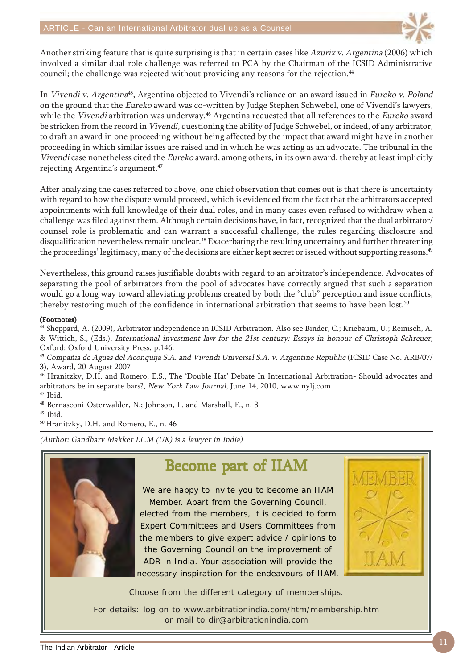

Another striking feature that is quite surprising is that in certain cases like Azurix v. Argentina (2006) which involved a similar dual role challenge was referred to PCA by the Chairman of the ICSID Administrative council; the challenge was rejected without providing any reasons for the rejection.<sup>44</sup>

In Vivendi v. Argentina<sup>45</sup>, Argentina objected to Vivendi's reliance on an award issued in Eureko v. Poland on the ground that the Eureko award was co-written by Judge Stephen Schwebel, one of Vivendi's lawyers, while the Vivendi arbitration was underway.<sup>46</sup> Argentina requested that all references to the Eureko award be stricken from the record in Vivendi, questioning the ability of Judge Schwebel, or indeed, of any arbitrator, to draft an award in one proceeding without being affected by the impact that award might have in another proceeding in which similar issues are raised and in which he was acting as an advocate. The tribunal in the Vivendi case nonetheless cited the Eureko award, among others, in its own award, thereby at least implicitly rejecting Argentina's argument.<sup>47</sup>

After analyzing the cases referred to above, one chief observation that comes out is that there is uncertainty with regard to how the dispute would proceed, which is evidenced from the fact that the arbitrators accepted appointments with full knowledge of their dual roles, and in many cases even refused to withdraw when a challenge was filed against them. Although certain decisions have, in fact, recognized that the dual arbitrator/ counsel role is problematic and can warrant a successful challenge, the rules regarding disclosure and disqualification nevertheless remain unclear.<sup>48</sup> Exacerbating the resulting uncertainty and further threatening the proceedings' legitimacy, many of the decisions are either kept secret or issued without supporting reasons.<sup>49</sup>

Nevertheless, this ground raises justifiable doubts with regard to an arbitrator's independence. Advocates of separating the pool of arbitrators from the pool of advocates have correctly argued that such a separation would go a long way toward alleviating problems created by both the "club" perception and issue conflicts, thereby restoring much of the confidence in international arbitration that seems to have been lost.<sup>50</sup>

### (Footnotes)

44 Sheppard, A. (2009), Arbitrator independence in ICSID Arbitration. Also see Binder, C.; Kriebaum, U.; Reinisch, A. & Wittich, S., (Eds.), International investment law for the 21st century: Essays in honour of Christoph Schreuer, Oxford: Oxford University Press, p.146.

<sup>45</sup> Compañia de Aguas del Aconquija S.A. and Vivendi Universal S.A. v. Argentine Republic (ICSID Case No. ARB/07/ 3), Award, 20 August 2007

46 Hranitzky, D.H. and Romero, E.S., The 'Double Hat' Debate In International Arbitration- Should advocates and arbitrators be in separate bars?, New York Law Journal, June 14, 2010, www.nylj.com

47 Ibid.

48 Bernasconi-Osterwalder, N.; Johnson, L. and Marshall, F., n. 3

49 Ibid.

50 Hranitzky, D.H. and Romero, E., n. 46

(Author: Gandharv Makker LL.M (UK) is a lawyer in India)



### Become part of IIAM

We are happy to invite you to become an IIAM Member. Apart from the Governing Council, elected from the members, it is decided to form Expert Committees and Users Committees from the members to give expert advice / opinions to the Governing Council on the improvement of ADR in India. Your association will provide the necessary inspiration for the endeavours of IIAM.



Choose from the different category of memberships.

For details: log on to www.arbitrationindia.com/htm/membership.htm or mail to dir@arbitrationindia.com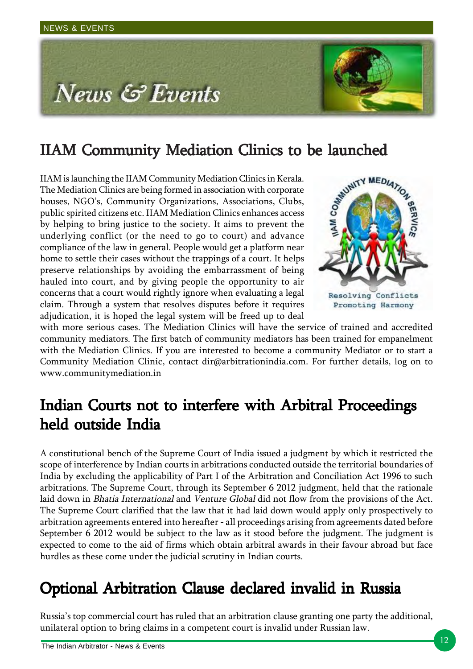

**IIAM Community Mediation Clinics to be launched**<br>IIAM is launching the IIAM Community Mediation Clinics in Kerala.<br>The Mediation Clinics are being formed in association with corporate<br>houses, NGO's, Community Organization IIAM is launching the IIAM Community Mediation Clinics in Kerala. The Mediation Clinics are being formed in association with corporate houses, NGO's, Community Organizations, Associations, Clubs, public spirited citizens etc. IIAM Mediation Clinics enhances access by helping to bring justice to the society. It aims to prevent the underlying conflict (or the need to go to court) and advance compliance of the law in general. People would get a platform near home to settle their cases without the trappings of a court. It helps preserve relationships by avoiding the embarrassment of being hauled into court, and by giving people the opportunity to air concerns that a court would rightly ignore when evaluating a legal claim. Through a system that resolves disputes before it requires adjudication, it is hoped the legal system will be freed up to deal



with more serious cases. The Mediation Clinics will have the service of trained and accredited community mediators. The first batch of community mediators has been trained for empanelment with the Mediation Clinics. If you are interested to become a community Mediator or to start a Community Mediation Clinic, contact dir@arbitrationindia.com. For further details, log on to www.communitymediation.in

## Indian Courts not to interfere with Arbitral Proceedings held outside India

A constitutional bench of the Supreme Court of India issued a judgment by which it restricted the scope of interference by Indian courts in arbitrations conducted outside the territorial boundaries of India by excluding the applicability of Part I of the Arbitration and Conciliation Act 1996 to such arbitrations. The Supreme Court, through its September 6 2012 judgment, held that the rationale laid down in Bhatia International and Venture Global did not flow from the provisions of the Act. The Supreme Court clarified that the law that it had laid down would apply only prospectively to arbitration agreements entered into hereafter - all proceedings arising from agreements dated before September 6 2012 would be subject to the law as it stood before the judgment. The judgment is expected to come to the aid of firms which obtain arbitral awards in their favour abroad but face hurdles as these come under the judicial scrutiny in Indian courts.

### Optional Arbitration Clause declared invalid in Russia

Russia's top commercial court has ruled that an arbitration clause granting one party the additional, unilateral option to bring claims in a competent court is invalid under Russian law.